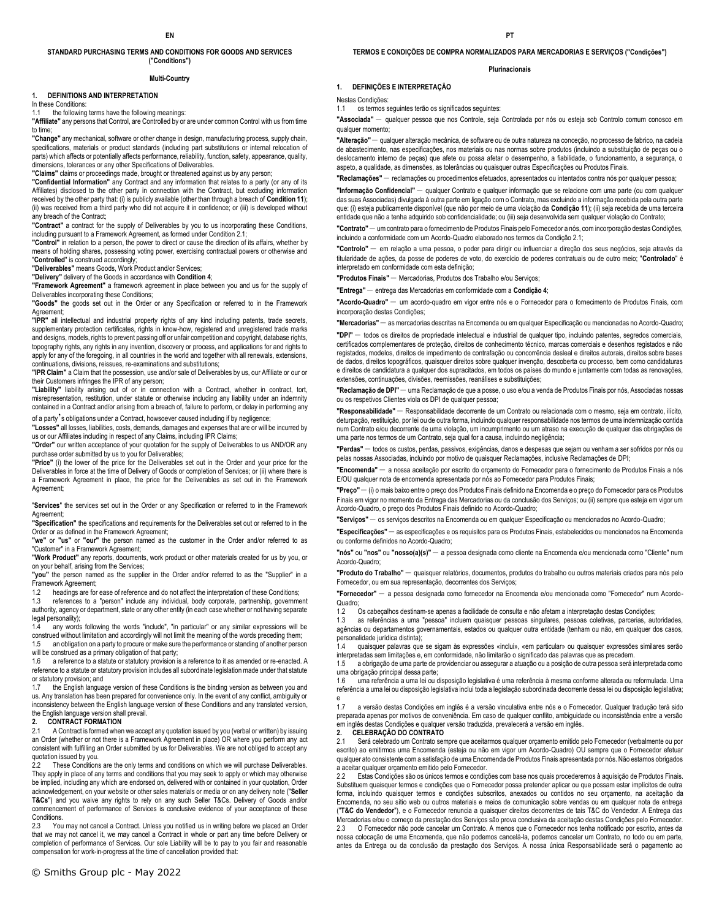#### **STANDARD PURCHASING TERMS AND CONDITIONS FOR GOODS AND SERVICES ("Conditions")**

#### **Multi-Country**

#### **1. DEFINITIONS AND INTERPRETATION**

In these Conditions:

1.1 the following terms have the following meanings:

**"Affiliate"** any persons that Control, are Controlled by or are under common Control with us from time to time;

**"Change"** any mechanical, software or other change in design, manufacturing process, supply chain, specifications, materials or product standards (including part substitutions or internal relocation of parts) which affects or potentially affects performance, reliability, function, safety, appearance, quality, dimensions, tolerances or any other Specifications of Deliverables.

**"Claims"** claims or proceedings made, brought or threatened against us by any person;

**"Confidential Information"** any Contract and any information that relates to a party (or any of its Affiliates) disclosed to the other party in connection with the Contract, but excluding information received by the other party that: (i) is publicly available (other than through a breach of **Condition 11**); (ii) was received from a third party who did not acquire it in confidence; or (iii) is developed without any breach of the Contract;

**"Contract"** a contract for the supply of Deliverables by you to us incorporating these Conditions, including pursuant to a Framework Agreement, as formed under Condition 2.1;

**"Control"** in relation to a person, the power to direct or cause the direction of its affairs, whether by means of holding shares, possessing voting power, exercising contractual powers or otherwise and "**Controlled**" is construed accordingly;

**"Deliverables"** means Goods, Work Product and/or Services;

**"Delivery"** delivery of the Goods in accordance with **Condition 4**;

**"Framework Agreement"** a framework agreement in place between you and us for the supply of Deliverables incorporating these Conditions;

**"Goods"** the goods set out in the Order or any Specification or referred to in the Framework Agreement; **"IPR"** all intellectual and industrial property rights of any kind including patents, trade secrets,

supplementary protection certificates, rights in know-how, registered and unregistered trade marks and designs, models, rights to prevent passing off or unfair competition and copyright, database rights, topography rights, any rights in any invention, discovery or process, and applications for and rights to apply for any of the foregoing, in all countries in the world and together with all renewals, extensions, continuations, divisions, reissues, re-examinations and substitutions;

**"IPR Claim"** a Claim that the possession, use and/or sale of Deliverables by us, our Affiliate or our or their Customers infringes the IPR of any person;

**"Liability"** liability arising out of or in connection with a Contract, whether in contract, tort, misrepresentation, restitution, under statute or otherwise including any liability under an indemnity contained in a Contract and/or arising from a breach of, failure to perform, or delay in performing any of a party's obligations under a Contract, howsoever caused including if by negligence;

**"Losses"** all losses, liabilities, costs, demands, damages and expenses that are or will be incurred by

us or our Affiliates including in respect of any Claims, including IPR Claims; **"Order"** our written acceptance of your quotation for the supply of Deliverables to us AND/OR any

purchase order submitted by us to you for Deliverables; **"Price"** (i) the lower of the price for the Deliverables set out in the Order and your price for the Deliverables in force at the time of Delivery of Goods or completion of Services; or (ii) where there is a Framework Agreement in place, the price for the Deliverables as set out in the Framework Agreement;

"**Services**" the services set out in the Order or any Specification or referred to in the Framework Agreement;

**"Specification"** the specifications and requirements for the Deliverables set out or referred to in the Order or as defined in the Framework Agreement;

**"we"** or **"us"** or **"our"** the person named as the customer in the Order and/or referred to as "Customer" in a Framework Agreement;

**"Work Product"** any reports, documents, work product or other materials created for us by you, or on your behalf, arising from the Services;

**"you"** the person named as the supplier in the Order and/or referred to as the "Supplier" in a Framework Agreement;

1.2 headings are for ease of reference and do not affect the interpretation of these Conditions; 1.3 references to a "person" include any individual, body corporate, partnership, government authority, agency or department, state or any other entity (in each case whether or not having separate

legal personality); 1.4 any words following the words "include", "in particular" or any similar expressions will be construed without limitation and accordingly will not limit the meaning of the words preceding them;

1.5 an obligation on a party to procure or make sure the performance or standing of another person will be construed as a primary obligation of that party;<br>1.6 a reference to a statute or statutory provision is

a reference to a statute or statutory provision is a reference to it as amended or re-enacted. A reference to a statute or statutory provision includes all subordinate legislation made under that statute or statutory provision; and

1.7 the English language version of these Conditions is the binding version as between you and us. Any translation has been prepared for convenience only. In the event of any conflict, ambiguity or inconsistency between the English language version of these Conditions and any translated version, the English language version shall prevail.

#### **2. CONTRACT FORMATION**

2.1 A Contract is formed when we accept any quotation issued by you (verbal or written) by issuing an Order (whether or not there is a Framework Agreement in place) OR where you perform any act consistent with fulfilling an Order submitted by us for Deliverables. We are not obliged to accept any quotation issued by you.

These Conditions are the only terms and conditions on which we will purchase Deliverables. They apply in place of any terms and conditions that you may seek to apply or which may otherwise be implied, including any which are endorsed on, delivered with or contained in your quotation, Order acknowledgement, on your website or other sales materials or media or on any delivery note ("**Seller T&Cs**") and you waive any rights to rely on any such Seller T&Cs. Delivery of Goods and/or commencement of performance of Services is conclusive evidence of your acceptance of these **Conditions** 

2.3 You may not cancel a Contract. Unless you notified us in writing before we placed an Order that we may not cancel it, we may cancel a Contract in whole or part any time before Delivery or completion of performance of Services. Our sole Liability will be to pay to you fair and reasonable compensation for work-in-progress at the time of cancellation provided that:

**TERMOS E CONDIÇÕES DE COMPRA NORMALIZADOS PARA MERCADORIAS E SERVIÇOS ("Condições")** 

#### **Plurinacionais**

#### **1. DEFINIÇÕES E INTERPRETAÇÃO**

Nestas Condições:

1.1 os termos seguintes terão os significados seguintes:

**"Associada"** – qualquer pessoa que nos Controle, seja Controlada por nós ou esteja sob Controlo comum conosco em qualquer momento;

**"Alteração"** – qualquer alteração mecânica, de software ou de outra natureza na conceção, no processo de fabrico, na cadeia de abastecimento, nas especificações, nos materiais ou nas normas sobre produtos (incluindo a substituição de peças ou o deslocamento interno de peças) que afete ou possa afetar o desempenho, a fiabilidade, o funcionamento, a segurança, o aspeto, a qualidade, as dimensões, as tolerâncias ou quaisquer outras Especificações ou Produtos Finais.

**"Reclamações"** – reclamações ou procedimentos efetuados, apresentados ou intentados contra nós por qualquer pessoa;

**"Informação Confidencial"** – qualquer Contrato e qualquer informação que se relacione com uma parte (ou com qualquer das suas Associadas) divulgada à outra parte em ligação com o Contrato, mas excluindo a informação recebida pela outra parte que: (i) esteja publicamente disponível (que não por meio de uma violação da **Condição 11**); (ii) seja recebida de uma terceira entidade que não a tenha adquirido sob confidencialidade; ou (iii) seja desenvolvida sem qualquer violação do Contrato;

**"Contrato"** – um contrato para o fornecimento de Produtos Finais pelo Fornecedor a nós, com incorporação destas Condições, incluindo a conformidade com um Acordo-Quadro elaborado nos termos da Condição 2.1;

**"Controlo"** – em relação a uma pessoa, o poder para dirigir ou influenciar a direção dos seus negócios, seja através da titularidade de ações, da posse de poderes de voto, do exercício de poderes contratuais ou de outro meio; "**Controlado**" é interpretado em conformidade com esta definição;

**"Produtos Finais"** – Mercadorias, Produtos dos Trabalho e/ou Serviços;

**"Entrega"** – entrega das Mercadorias em conformidade com a **Condição 4**;

**"Acordo-Quadro"** – um acordo-quadro em vigor entre nós e o Fornecedor para o fornecimento de Produtos Finais, com incorporação destas Condições;

**"Mercadorias"** – as mercadorias descritas na Encomenda ou em qualquer Especificação ou mencionadas no Acordo-Quadro;

**"DPI"** – todos os direitos de propriedade intelectual e industrial de qualquer tipo, incluindo patentes, segredos comerciais, certificados complementares de proteção, direitos de conhecimento técnico, marcas comerciais e desenhos registados e não registados, modelos, direitos de impedimento de contrafação ou concorrência desleal e direitos autorais, direitos sobre bases de dados, direitos topográficos, quaisquer direitos sobre qualquer invenção, descoberta ou processo, bem como candidaturas e direitos de candidatura a qualquer dos supracitados, em todos os países do mundo e juntamente com todas as renovações, extensões, continuações, divisões, reemissões, reanálises e substituições;

**"Reclamação de DPI"** – uma Reclamação de que a posse, o uso e/ou a venda de Produtos Finais por nós, Associadas nossas ou os respetivos Clientes viola os DPI de qualquer pessoa;

**"Responsabilidade"** – Responsabilidade decorrente de um Contrato ou relacionada com o mesmo, seja em contrato, ilícito, deturpação, restituição, por lei ou de outra forma, incluindo qualquer responsabilidade nos termos de uma indemnização contida num Contrato e/ou decorrente de uma violação, um incumprimento ou um atraso na execução de qualquer das obrigações de uma parte nos termos de um Contrato, seja qual for a causa, incluindo negligência;

**"Perdas"** – todos os custos, perdas, passivos, exigências, danos e despesas que sejam ou venham a ser sofridos por nós ou pelas nossas Associadas, incluindo por motivo de quaisquer Reclamações, inclusive Reclamações de DPI;

**"Encomenda"** – a nossa aceitação por escrito do orçamento do Fornecedor para o fornecimento de Produtos Finais a nós E/OU qualquer nota de encomenda apresentada por nós ao Fornecedor para Produtos Finais;

**"Preço"** – (i) o mais baixo entre o preço dos Produtos Finais definido na Encomenda e o preço do Fornecedor para os Produtos Finais em vigor no momento da Entrega das Mercadorias ou da conclusão dos Serviços; ou (ii) sempre que esteja em vigor um Acordo-Quadro, o preço dos Produtos Finais definido no Acordo-Quadro;

**"Serviços"** – os serviços descritos na Encomenda ou em qualquer Especificação ou mencionados no Acordo-Quadro;

**"Especificações"** – as especificações e os requisitos para os Produtos Finais, estabelecidos ou mencionados na Encomenda ou conforme definidos no Acordo-Quadro;

**"nós"** ou **"nos"** ou **"nosso(a)(s)"** – a pessoa designada como cliente na Encomenda e/ou mencionada como "Cliente" num Acordo-Quadro;

**"Produto do Trabalho"** – quaisquer relatórios, documentos, produtos do trabalho ou outros materiais criados para nós pelo Fornecedor, ou em sua representação, decorrentes dos Serviços;

**"Fornecedor"** – a pessoa designada como fornecedor na Encomenda e/ou mencionada como "Fornecedor" num Acordo-Quadro;<br>1.2

Os cabeçalhos destinam-se apenas a facilidade de consulta e não afetam a interpretação destas Condições;

1.3 as referências a uma "pessoa" incluem quaisquer pessoas singulares, pessoas coletivas, parcerias, autoridades, agências ou departamentos governamentais, estados ou qualquer outra entidade (tenham ou não, em qualquer dos casos, personalidade jurídica distinta);

quaisquer palavras que se sigam às expressões «inclui», «em particular» ou quaisquer expressões similares serão interpretadas sem limitações e, em conformidade, não limitarão o significado das palavras que as precedem.

1.5 a obrigação de uma parte de providenciar ou assegurar a atuação ou a posição de outra pessoa será interpretada como uma obrigação principal dessa parte;

1.6 uma referência a uma lei ou disposição legislativa é uma referência à mesma conforme alterada ou reformulada. Uma<br>referência a uma lei ou disposição legislativa inclui toda a legislação subordinada decorrente dessa lei ncia a uma lei ou disposição legislativa inclui toda a legislação subordinada decorrente dessa lei ou disposição legislativa;

 $17$ a versão destas Condições em inglês é a versão vinculativa entre nós e o Fornecedor. Qualquer tradução terá sido preparada apenas por motivos de conveniência. Em caso de qualquer conflito, ambiguidade ou inconsistência entre a versão em inglês destas Condições e qualquer versão traduzida, prevalecerá a versão em inglês.

## **2. CELEBRAÇÃO DO CONTRATO**

Será celebrado um Contrato sempre que aceitarmos qualquer orçamento emitido pelo Fornecedor (verbalmente ou por escrito) ao emitirmos uma Encomenda (esteja ou não em vigor um Acordo-Quadro) OU sempre que o Fornecedor efetuar qualquer ato consistente com a satisfação de uma Encomenda de Produtos Finais apresentada por nós. Não estamos obrigados a aceitar qualquer orçamento emitido pelo Fornecedor.

2.2 Estas Condições são os únicos termos e condições com base nos quais procederemos à aquisição de Produtos Finais. Substituem quaisquer termos e condições que o Fornecedor possa pretender aplicar ou que possam estar implícitos de outra forma, incluindo quaisquer termos e condições subscritos, anexados ou contidos no seu orçamento, na aceitação da Encomenda, no seu sítio web ou outros materiais e meios de comunicação sobre vendas ou em qualquer nota de entrega ("**T&C do Vendedor**"), e o Fornecedor renuncia a quaisquer direitos decorrentes de tais T&C do Vendedor. A Entrega das Mercadorias e/ou o começo da prestação dos Serviços são prova conclusiva da aceitação destas Condições pelo Fornecedor.

2.3 O Fornecedor não pode cancelar um Contrato. A menos que o Fornecedor nos tenha notificado por escrito, antes da nossa colocação de uma Encomenda, que não podemos cancelá-la, podemos cancelar um Contrato, no todo ou em parte, antes da Entrega ou da conclusão da prestação dos Serviços. A nossa única Responsabilidade será o pagamento ao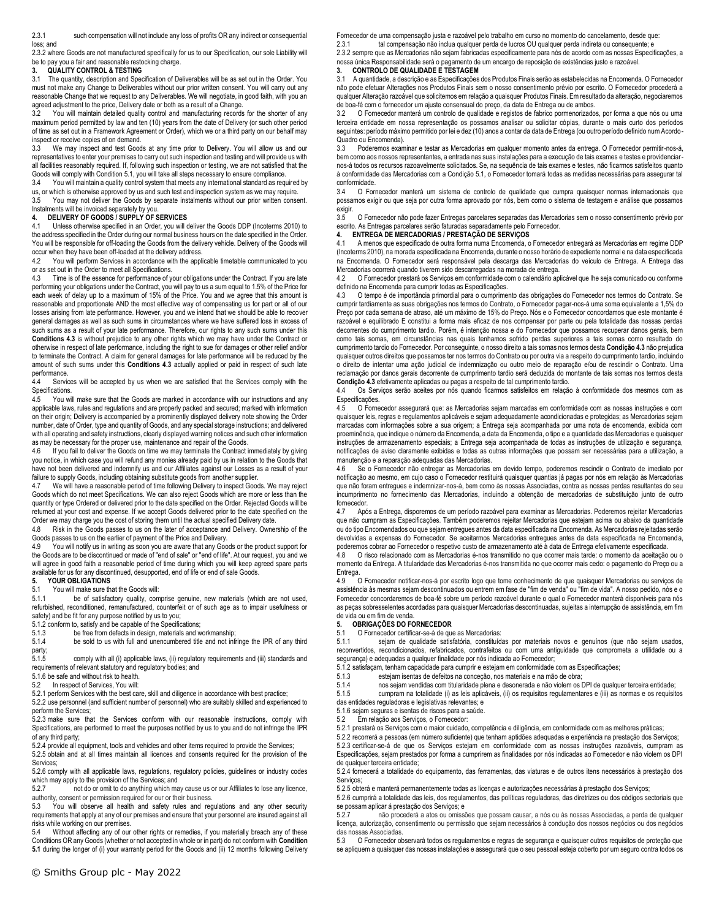2.3.1 such compensation will not include any loss of profits OR any indirect or consequential loss; and

2.3.2 where Goods are not manufactured specifically for us to our Specification, our sole Liability will be to pay you a fair and reasonable restocking charge.<br>3. QUALITY CONTROL & TESTING

#### **3. QUALITY CONTROL & TESTING**

3.1 The quantity, description and Specification of Deliverables will be as set out in the Order. You must not make any Change to Deliverables without our prior written consent. You will carry out any reasonable Change that we request to any Deliverables. We will negotiate, in good faith, with you an agreed adjustment to the price, Delivery date or both as a result of a Change<br>3.2 You will maintain detailed quality control and manufacturing record

You will maintain detailed quality control and manufacturing records for the shorter of any maximum period permitted by law and ten (10) years from the date of Delivery (or such other period of time as set out in a Framework Agreement or Order), which we or a third party on our behalf may inspect or receive copies of on demand.

3.3 We may inspect and test Goods at any time prior to Delivery. You will allow us and our representatives to enter your premises to carry out such inspection and testing and will provide us with all facilities reasonably required. If, following such inspection or testing, we are not satisfied that the Goods will comply with Condition 5.1, you will take all steps necessary to ensure compliance.

3.4 You will maintain a quality control system that meets any international standard as required by us, or which is otherwise approved by us and such test and inspection system as we may require.

3.5 You may not deliver the Goods by separate instalments without our prior written consent. Instalments will be invoiced separately by you.

#### **4. DELIVERY OF GOODS / SUPPLY OF SERVICES**

4.1 Unless otherwise specified in an Order, you will deliver the Goods DDP (Incoterms 2010) to the address specified in the Order during our normal business hours on the date specified in the Order. You will be responsible for off-loading the Goods from the delivery vehicle. Delivery of the Goods will

occur when they have been off-loaded at the delivery address<br>4.2 You will perform Services in accordance with the app You will perform Services in accordance with the applicable timetable communicated to you or as set out in the Order to meet all Specifications.

4.3 Time is of the essence for performance of your obligations under the Contract. If you are late performing your obligations under the Contract, you will pay to us a sum equal to 1.5% of the Price for each week of delay up to a maximum of 15% of the Price. You and we agree that this amount is reasonable and proportionate AND the most effective way of compensating us for part or all of our losses arising from late performance. However, you and we intend that we should be able to recover general damages as well as such sums in circumstances where we have suffered loss in excess of such sums as a result of your late performance. Therefore, our rights to any such sums under this **Conditions 4.3** is without prejudice to any other rights which we may have under the Contract or otherwise in respect of late performance, including the right to sue for damages or other relief and/or to terminate the Contract. A claim for general damages for late performance will be reduced by the amount of such sums under this **Conditions 4.3** actually applied or paid in respect of such late performance.

4.4 Services will be accepted by us when we are satisfied that the Services comply with the Specifications.

4.5 You will make sure that the Goods are marked in accordance with our instructions and any applicable laws, rules and regulations and are properly packed and secured; marked with information on their origin; Delivery is accompanied by a prominently displayed delivery note showing the Order number, date of Order, type and quantity of Goods, and any special storage instructions; and delivered with all operating and safety instructions, clearly displayed warning notices and such other information as may be necessary for the proper use, maintenance and repair of the Goods.

4.6 If you fail to deliver the Goods on time we may terminate the Contract immediately by giving you notice, in which case you will refund any monies already paid by us in relation to the Goods that have not been delivered and indemnify us and our Affiliates against our Losses as a result of your failure to supply Goods, including obtaining substitute goods from another supplier.<br>4.7 We will have a reasonable period of time following Delivery to inspect Good

We will have a reasonable period of time following Delivery to inspect Goods. We may reject Goods which do not meet Specifications. We can also reject Goods which are more or less than the quantity or type Ordered or delivered prior to the date specified on the Order. Rejected Goods will be returned at your cost and expense. If we accept Goods delivered prior to the date specified on the Order we may charge you the cost of storing them until the actual specified Delivery date.

4.8 Risk in the Goods passes to us on the later of acceptance and Delivery. Ownership of the Goods passes to us on the earlier of payment of the Price and Delivery.

4.9 You will notify us in writing as soon you are aware that any Goods or the product support for the Goods are to be discontinued or made of "end of sale" or "end of life". At our request, you and we will agree in good faith a reasonable period of time during which you will keep agreed spare parts available for us for any discontinued, desupported, end of life or end of sale Goods.

#### **5. YOUR OBLIGATIONS**

5.1 You will make sure that the Goods will:

5.1.1 be of satisfactory quality, comprise genuine, new materials (which are not used, refurbished, reconditioned, remanufactured, counterfeit or of such age as to impair usefulness or safety) and be fit for any purpose notified by us to you;

5.1.2 conform to, satisfy and be capable of the Specifications;

5.1.3 be free from defects in design, materials and workmanship;<br>5.1.4 be sold to us with full and unencumbered title and not inf

be sold to us with full and unencumbered title and not infringe the IPR of any third party;

5.1.5 comply with all (i) applicable laws, (ii) regulatory requirements and (iii) standards and requirements of relevant statutory and regulatory bodies; and

5.1.6 be safe and without risk to health.

5.2 In respect of Services, You will:

5.2.1 perform Services with the best care, skill and diligence in accordance with best practice; 5.2.2 use personnel (and sufficient number of personnel) who are suitably skilled and experienced to

perform the Services;

5.2.3 make sure that the Services conform with our reasonable instructions, comply with Specifications, are performed to meet the purposes notified by us to you and do not infringe the IPR of any third party;

5.2.4 provide all equipment, tools and vehicles and other items required to provide the Services; 5.2.5 obtain and at all times maintain all licences and consents required for the provision of the Services;

5.2.6 comply with all applicable laws, regulations, regulatory policies, guidelines or industry codes which may apply to the provision of the Services; and<br>5.2.7 mot do or omit to do apything which may

not do or omit to do anything which may cause us or our Affiliates to lose any licence. authority, consent or permission required for our or their business.<br>5.3 You will observe all health and safety rules and req

You will observe all health and safety rules and regulations and any other security requirements that apply at any of our premises and ensure that your personnel are insured against all risks while working on our premises.

5.4 Without affecting any of our other rights or remedies, if you materially breach any of these Conditions OR any Goods (whether or not accepted in whole or in part) do not conform with **Condition 5.1** during the longer of (i) your warranty period for the Goods and (ii) 12 months following Delivery

Fornecedor de uma compensação justa e razoável pelo trabalho em curso no momento do cancelamento, desde que:

2.3.1 tal compensação não inclua qualquer perda de lucros OU qualquer perda indireta ou consequente; e 2.3.2 sempre que as Mercadorias não sejam fabricadas especificamente para nós de acordo com as nossas Especificações, a nossa única Responsabilidade será o pagamento de um encargo de reposição de existências justo e razoável.

#### **3. CONTROLO DE QUALIDADE E TESTAGEM**

3.1 A quantidade, a descrição e as Especificações dos Produtos Finais serão as estabelecidas na Encomenda. O Fornecedor não pode efetuar Alterações nos Produtos Finais sem o nosso consentimento prévio por escrito. O Fornecedor procederá a qualquer Alteração razoável que solicitemos em relação a quaisquer Produtos Finais. Em resultado da alteração, negociaremos de boa-fé com o fornecedor um ajuste consensual do preço, da data de Entrega ou de ambos.<br>3.2 O Fornecedor manterá um controlo de qualidade e registos de fabrico pormenorizado

3.2 O Fornecedor manterá um controlo de qualidade e registos de fabrico pormenorizados, por forma a que nós ou uma terceira entidade em nossa representação os possamos analisar ou solicitar cópias, durante o mais curto dos períodos seguintes: período máximo permitido por lei e dez (10) anos a contar da data de Entrega (ou outro período definido num Acordo-Quadro ou Encomenda).

3.3 Poderemos examinar e testar as Mercadorias em qualquer momento antes da entrega. O Fornecedor permitir-nos-á, bem como aos nossos representantes, a entrada nas suas instalações para a execução de tais exames e testes e providenciarnos-á todos os recursos razoavelmente solicitados. Se, na sequência de tais exames e testes, não ficarmos satisfeitos quanto à conformidade das Mercadorias com a Condição 5.1, o Fornecedor tomará todas as medidas necessárias para assegurar tal conformidade.

3.4 O Fornecedor manterá um sistema de controlo de qualidade que cumpra quaisquer normas internacionais que possamos exigir ou que seja por outra forma aprovado por nós, bem como o sistema de testagem e análise que possamos exigir.<br>3.5

3.5 O Fornecedor não pode fazer Entregas parcelares separadas das Mercadorias sem o nosso consentimento prévio por escrito. As Entregas parcelares serão faturadas separadamente pelo Fornecedor.

#### **4. ENTREGA DE MERCADORIAS / PRESTAÇÃO DE SERVIÇOS**

4.1 A menos que especificado de outra forma numa Encomenda, o Fornecedor entregará as Mercadorias em regime DDP (Incoterms 2010), na morada especificada na Encomenda, durante o nosso horário de expediente normal e na data especificada na Encomenda. O Fornecedor será responsável pela descarga das Mercadorias do veículo de Entrega. A Entrega das Mercadorias ocorrerá quando tiverem sido descarregadas na morada de entrega.

4.2 O Fornecedor prestará os Serviços em conformidade com o calendário aplicável que lhe seja comunicado ou conforme definido na Encomenda para cumprir todas as Especificações.

4.3 O tempo é de importância primordial para o cumprimento das obrigações do Fornecedor nos termos do Contrato. Se cumprir tardiamente as suas obrigações nos termos do Contrato, o Fornecedor pagar-nos-á uma soma equivalente a 1,5% do<br>Preço por cada semana de atraso, até um máximo de 15% do Preço. Nós e o Fornecedor concordamos que este razoável e equilibrado E constitui a forma mais eficaz de nos compensar por parte ou pela totalidade das nossas perdas decorrentes do cumprimento tardio. Porém, é intenção nossa e do Fornecedor que possamos recuperar danos gerais, bem como tais somas, em circunstâncias nas quais tenhamos sofrido perdas superiores a tais somas como resultado do cumprimento tardio do Fornecedor. Por conseguinte, o nosso direito a tais somas nos termos desta **Condição 4.3** não prejudica quaisquer outros direitos que possamos ter nos termos do Contrato ou por outra via a respeito do cumprimento tardio, incluindo o direito de intentar uma ação judicial de indemnização ou outro meio de reparação e/ou de rescindir o Contrato. Uma reclamação por danos gerais decorrente de cumprimento tardio será deduzida do montante de tais somas nos termos desta **Condição 4.3** efetivamente aplicadas ou pagas a respeito de tal cumprimento tardio.

4.4 Os Serviços serão aceites por nós quando ficarmos satisfeitos em relação à conformidade dos mesmos com as **Especificações** 

4.5 O Fornecedor assegurará que: as Mercadorias sejam marcadas em conformidade com as nossas instruções e com quaisquer leis, regras e regulamentos aplicáveis e sejam adequadamente acondicionadas e protegidas; as Mercadorias sejam marcadas com informações sobre a sua origem; a Entrega seja acompanhada por uma nota de encomenda, exibida com proeminência, que indique o número da Encomenda, a data da Encomenda, o tipo e a quantidade das Mercadorias e quaisquer instruções de armazenamento especiais; a Entrega seja acompanhada de todas as instruções de utilização e segurança, notificações de aviso claramente exibidas e todas as outras informações que possam ser necessárias para a utilização, a manutenção e a reparação adequadas das Mercadorias.

Se o Fornecedor não entregar as Mercadorias em devido tempo, poderemos rescindir o Contrato de imediato por notificação ao mesmo, em cujo caso o Fornecedor restituirá quaisquer quantias já pagas por nós em relação às Mercadorias que não foram entregues e indemnizar-nos-á, bem como às nossas Associadas, contra as nossas perdas resultantes do seu incumprimento no fornecimento das Mercadorias, incluindo a obtenção de mercadorias de substituição junto de outro fornecedor.

4.7 Após a Entrega, disporemos de um período razoável para examinar as Mercadorias. Poderemos rejeitar Mercadorias que não cumpram as Especificações. Também poderemos rejeitar Mercadorias que estejam acima ou abaixo da quantidade ou do tipo Encomendados ou que sejam entregues antes da data especificada na Encomenda. As Mercadorias rejeitadas serão devolvidas a expensas do Fornecedor. Se aceitarmos Mercadorias entregues antes da data especificada na Encomenda, poderemos cobrar ao Fornecedor o respetivo custo de armazenamento até à data de Entrega efetivamente especificada.

4.8 O risco relacionado com as Mercadorias é-nos transmitido no que ocorrer mais tarde: o momento da aceitação ou o momento da Entrega. A titularidade das Mercadorias é-nos transmitida no que ocorrer mais cedo: o pagamento do Preço ou a Entrega.

4.9 O Fornecedor notificar-nos-á por escrito logo que tome conhecimento de que quaisquer Mercadorias ou serviços de assistência às mesmas sejam descontinuados ou entrem em fase de "fim de venda" ou "fim de vida". A nosso pedido, nós e o Fornecedor concordaremos de boa-fé sobre um período razoável durante o qual o Fornecedor manterá disponíveis para nós as peças sobresselentes acordadas para quaisquer Mercadorias descontinuadas, sujeitas a interrupção de assistência, em fim de vida ou em fim de venda.

#### **5. OBRIGAÇÕES DO FORNECEDOR**

5.1 O Fornecedor certificar-se-á de que as Mercadorias:<br>5.1.1 sejam de qualidade satisfatória, constituíd: sejam de qualidade satisfatória, constituídas por materiais novos e genuínos (que não sejam usados, reconvertidos, recondicionados, refabricados, contrafeitos ou com uma antiguidade que comprometa a utilidade ou a segurança) e adequadas a qualquer finalidade por nós indicada ao Fornecedor;

5.1.2 satisfaçam, tenham capacidade para cumprir e estejam em conformidade com as Especificações;<br>5.1.3 estejam isentas de defeitos na conceção, nos materiais e na mão de obra:

estejam isentas de defeitos na conceção, nos materiais e na mão de obra;

5.1.4 nos sejam vendidas com titularidade plena e desonerada e não violem os DPI de qualquer terceira entidade;

5.1.5 cumpram na totalidade (i) as leis aplicáveis, (ii) os requisitos regulamentares e (iii) as normas e os requisitos das entidades reguladoras e legislativas relevantes; e

5.1.6 sejam seguras e isentas de riscos para a saúde.<br>5.2 Em relação aos Servicos o Fornecedor:

Ém relação aos Serviços, o Fornecedor:

5.2.1 prestará os Serviços com o maior cuidado, competência e diligência, em conformidade com as melhores práticas;

5.2.2 recorrerá a pessoas (em número suficiente) que tenham aptidões adequadas e experiência na prestação dos Serviços; 5.2.3 certificar-se-á de que os Serviços estejam em conformidade com as nossas instruções razoáveis, cumpram as Especificações, sejam prestados por forma a cumprirem as finalidades por nós indicadas ao Fornecedor e não violem os DPI de qualquer terceira entidade;

5.2.4 fornecerá a totalidade do equipamento, das ferramentas, das viaturas e de outros itens necessários à prestação dos Servicos:

5.2.5 obterá e manterá permanentemente todas as licenças e autorizações necessárias à prestação dos Serviços;

5.2.6 cumprirá a totalidade das leis, dos regulamentos, das políticas reguladoras, das diretrizes ou dos códigos sectoriais que se possam aplicar á prestação dos Serviços; e<br>5.2.7 mão procederá a atos ou omissô

5.2.7 não procederá a atos ou omissões que possam causar, a nós ou às nossas Associadas, a perda de qualquer licença, autorização, consentimento ou permissão que sejam necessários à condução dos nossos negócios ou dos negócios das nossas Associadas.

5.3 O Fornecedor observará todos os regulamentos e regras de segurança e quaisquer outros requisitos de proteção que se apliquem a quaisquer das nossas instalações e assegurará que o seu pessoal esteja coberto por um seguro contra todos os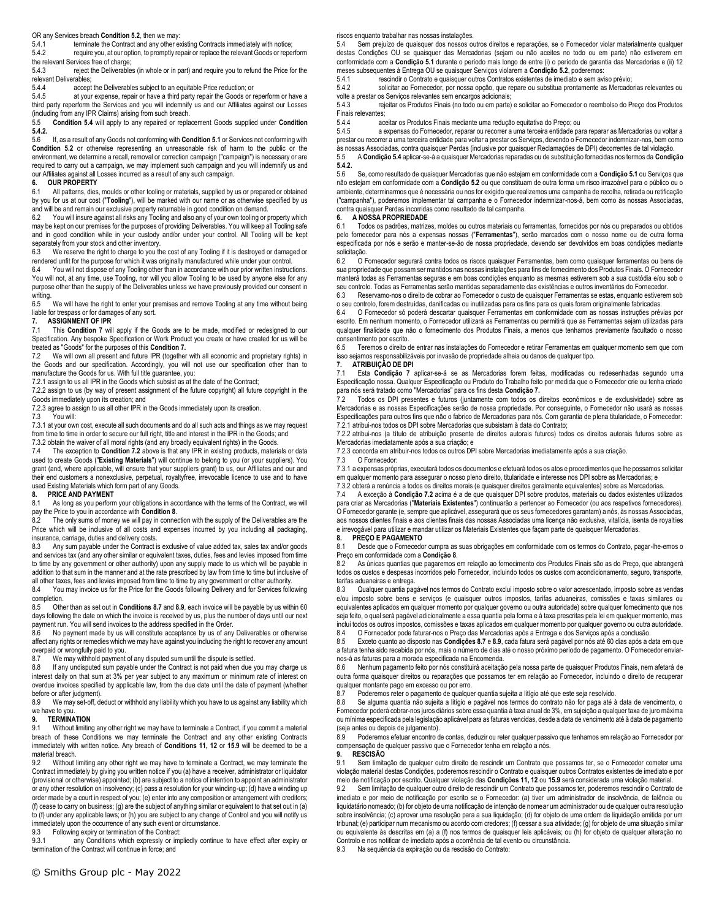OR any Services breach **Condition 5.2**, then we may:

5.4.1 terminate the Contract and any other existing Contracts immediately with notice: 5.4.2 require you, at our option, to promptly repair or replace the relevant Goods or reperform

the relevant Services free of charge;<br>5.4.3 reject the Deliverable reject the Deliverables (in whole or in part) and require you to refund the Price for the

relevant Deliverables;<br>5.4.4 accept accept the Deliverables subject to an equitable Price reduction; or

5.4.5 at your expense, repair or have a third party repair the Goods or reperform or have a third party reperform the Services and you will indemnify us and our Affiliates against our Losses

(including from any IPR Claims) arising from such breach.<br>5.5 **Condition 5.4** will apply to any repaired or repla 5.5 **Condition 5.4** will apply to any repaired or replacement Goods supplied under **Condition 5.4.2.**

5.6 If, as a result of any Goods not conforming with **Condition 5.1** or Services not conforming with **Condition 5.2** or otherwise representing an unreasonable risk of harm to the public or the environment, we determine a recall, removal or correction campaign ("campaign") is necessary or are required to carry out a campaign, we may implement such campaign and you will indemnify us and our Affiliates against all Losses incurred as a result of any such campaign.

### **6. OUR PROPERTY**

6.1 All patterns, dies, moulds or other tooling or materials, supplied by us or prepared or obtained by you for us at our cost ("**Tooling**"), will be marked with our name or as otherwise specified by us and will be and remain our exclusive property returnable in good condition on demand.<br>6.2 You will insure against all risks any Tooling and also any of your own tooling or port

You will insure against all risks any Tooling and also any of your own tooling or property which may be kept on our premises for the purposes of providing Deliverables. You will keep all Tooling safe and in good condition while in your custody and/or under your control. All Tooling will be kept separately from your stock and other inventory.

6.3 We reserve the right to charge to you the cost of any Tooling if it is destroyed or damaged or rendered unfit for the purpose for which it was originally manufactured while under your control.<br>6.4 You will not dispose of any Tooling other than in accordance with our prior written instruction

You will not dispose of any Tooling other than in accordance with our prior written instructions. You will not, at any time, use Tooling, nor will you allow Tooling to be used by anyone else for any purpose other than the supply of the Deliverables unless we have previously provided our consent in writing.

6.5 We will have the right to enter your premises and remove Tooling at any time without being liable for trespass or for damages of any sort.<br>7. ASSIGNMENT OF IPR

## **7. ASSIGNMENT OF IPR**

This **Condition 7** will apply if the Goods are to be made, modified or redesigned to our Specification. Any bespoke Specification or Work Product you create or have created for us will be treated as "Goods" for the purposes of this **Condition 7.**

7.2 We will own all present and future IPR (together with all economic and proprietary rights) in the Goods and our specification. Accordingly, you will not use our specification other than to manufacture the Goods for us. With full title guarantee, you:

7.2.1 assign to us all IPR in the Goods which subsist as at the date of the Contract;

7.2.2 assign to us (by way of present assignment of the future copyright) all future copyright in the Goods immediately upon its creation; and

7.2.3 agree to assign to us all other IPR in the Goods immediately upon its creation.<br>7.3 You will:

You will:

7.3.1 at your own cost, execute all such documents and do all such acts and things as we may request from time to time in order to secure our full right, title and interest in the IPR in the Goods; and

7.3.2 obtain the waiver of all moral rights (and any broadly equivalent rights) in the Goods.

7.4 The exception to **Condition 7.2** above is that any IPR in existing products, materials or data used to create Goods ("**Existing Materials**") will continue to belong to you (or your suppliers). You grant (and, where applicable, will ensure that your suppliers grant) to us, our Affiliates and our and their end customers a nonexclusive, perpetual, royaltyfree, irrevocable licence to use and to have used Existing Materials which form part of any Goods.

## **8. PRICE AND PAYMENT**

As long as you perform your obligations in accordance with the terms of the Contract, we will pay the Price to you in accordance with **Condition 8**.

8.2 The only sums of money we will pay in connection with the supply of the Deliverables are the Price which will be inclusive of all costs and expenses incurred by you including all packaging, insurance, carriage, duties and delivery costs.

8.3 Any sum payable under the Contract is exclusive of value added tax, sales tax and/or goods and services tax (and any other similar or equivalent taxes, duties, fees and levies imposed from time to time by any government or other authority) upon any supply made to us which will be payable in addition to that sum in the manner and at the rate prescribed by law from time to time but inclusive of all other taxes, fees and levies imposed from time to time by any government or other authority.

8.4 You may invoice us for the Price for the Goods following Delivery and for Services following completion.

8.5 Other than as set out in **Conditions 8.7** and **8.9**, each invoice will be payable by us within 60 days following the date on which the invoice is received by us, plus the number of days until our next payment run. You will send invoices to the address specified in the Order.

8.6 No payment made by us will constitute acceptance by us of any Deliverables or otherwise affect any rights or remedies which we may have against you including the right to recover any amount overpaid or wrongfully paid to you.

8.7 We may withhold payment of any disputed sum until the dispute is settled.<br>8.8 If any undisputed sum payable under the Contract is not paid when due

If any undisputed sum payable under the Contract is not paid when due you may charge us interest daily on that sum at 3% per year subject to any maximum or minimum rate of interest on overdue invoices specified by applicable law, from the due date until the date of payment (whether before or after judgment).<br>8.9 We may set-off d

We may set-off, deduct or withhold any liability which you have to us against any liability which we have to you.

#### **9. TERMINATION**

9.1 Without limiting any other right we may have to terminate a Contract, if you commit a material breach of these Conditions we may terminate the Contract and any other existing Contracts immediately with written notice. Any breach of **Conditions 11, 12** or **15.9** will be deemed to be a material breach.<br>9.2 Without

Without limiting any other right we may have to terminate a Contract, we may terminate the Contract immediately by giving you written notice if you (a) have a receiver, administrator or liquidator (provisional or otherwise) appointed; (b) are subject to a notice of intention to appoint an administrator or any other resolution on insolvency; (c) pass a resolution for your winding-up; (d) have a winding up order made by a court in respect of you; (e) enter into any composition or arrangement with creditors; (f) cease to carry on business; (g) are the subject of anything similar or equivalent to that set out in (a) to (f) under any applicable laws; or (h) you are subject to any change of Control and you will notify us immediately upon the occurrence of any such event or circumstance.

9.3 Following expiry or termination of the Contract:

9.3.1 any Conditions which expressly or impliedly continue to have effect after expiry or termination of the Contract will continue in force; and

riscos enquanto trabalhar nas nossas instalações.

5.4 Sem prejuízo de quaisquer dos nossos outros direitos e reparações, se o Fornecedor violar materialmente qualquer destas Condições OU se quaisquer das Mercadorias (sejam ou não aceites no todo ou em parte) não estiverem em conformidade com a **Condição 5.1** durante o período mais longo de entre (i) o período de garantia das Mercadorias e (ii) 12 meses subsequentes à Entrega OU se quaisquer Serviços violarem a **Condição 5.2**, poderemos:

5.4.1 rescindir o Contrato e quaisquer outros Contratos existentes de imediato e sem aviso prévio;<br>5.4.2 solicitar ao Fornecedor, por nossa opcão, que repare ou substitua prontamente as Mercado

solicitar ao Fornecedor, por nossa opção, que repare ou substitua prontamente as Mercadorias relevantes ou

volte a prestar os Serviços relevantes sem encargos adicionais; 5.4.3 rejeitar os Produtos Finais (no todo ou em parte) e solicitar ao Fornecedor o reembolso do Preço dos Produtos

Finais relevantes;<br>5.4.4 ac 5.4.4 aceitar os Produtos Finais mediante uma redução equitativa do Preço; ou

a expensas do Fornecedor, reparar ou recorrer a uma terceira entidade para reparar as Mercadorias ou voltar a prestar ou recorrer a uma terceira entidade para voltar a prestar os Serviços, devendo o Fornecedor indemnizar-nos, bem como<br>às nossas Associadas, contra quaisquer Perdas (inclusive por quaisquer Reclamações de DPI) decorr

5.5 A **Condição 5.4** aplicar-se-á a quaisquer Mercadorias reparadas ou de substituição fornecidas nos termos da **Condição 5.4.2.**

5.6 Se, como resultado de quaisquer Mercadorias que não estejam em conformidade com a **Condição 5.1** ou Serviços que não estejam em conformidade com a **Condição 5.2** ou que constituam de outra forma um risco irrazoável para o público ou o ambiente, determinarmos que é necessária ou nos for exigido que realizemos uma campanha de recolha, retirada ou retificação ("campanha"), poderemos implementar tal campanha e o Fornecedor indemnizar-nos-á, bem como às nossas Associadas, contra quaisquer Perdas incorridas como resultado de tal campanha.

#### **6. A NOSSA PROPRIEDADE**

6.1 Todos os padrões, matrizes, moldes ou outros materiais ou ferramentas, fornecidos por nós ou preparados ou obtidos pelo fornecedor para nós a expensas nossas ("**Ferramentas**"), serão marcados com o nosso nome ou de outra forma especificada por nós e serão e manter-se-ão de nossa propriedade, devendo ser devolvidos em boas condições mediante solicitação.<br>6.2 O F

6.2 O Fornecedor segurará contra todos os riscos quaisquer Ferramentas, bem como quaisquer ferramentas ou bens de sua propriedade que possam ser mantidos nas nossas instalações para fins de fornecimento dos Produtos Finais. O Fornecedor manterá todas as Ferramentas seguras e em boas condições enquanto as mesmas estiverem sob a sua custódia e/ou sob o seu controlo. Todas as Ferramentas serão mantidas separadamente das existências e outros inventários do Fornecedor.

6.3 Reservamo-nos o direito de cobrar ao Fornecedor o custo de quaisquer Ferramentas se estas, enquanto estiverem sob o seu controlo, forem destruídas, danificadas ou inutilizadas para os fins para os quais foram originalmente fabricadas.

6.4 O Fornecedor só poderá descartar quaisquer Ferramentas em conformidade com as nossas instruções prévias por escrito. Em nenhum momento, o Fornecedor utilizará as Ferramentas ou permitirá que as Ferramentas sejam utilizadas para qualquer finalidade que não o fornecimento dos Produtos Finais, a menos que tenhamos previamente facultado o nosso consentimento por escrito.

6.5 Teremos o direito de entrar nas instalações do Fornecedor e retirar Ferramentas em qualquer momento sem que com isso sejamos responsabilizáveis por invasão de propriedade alheia ou danos de qualquer tipo. **7. ATRIBUIÇÃO DE DPI**

Esta **Condição 7** aplicar-se-á se as Mercadorias forem feitas, modificadas ou redesenhadas segundo uma Especificação nossa. Qualquer Especificação ou Produto do Trabalho feito por medida que o Fornecedor crie ou tenha criado para nós será tratado como "Mercadorias" para os fins desta **Condição 7.**

7.2 Todos os DPI presentes e futuros (juntamente com todos os direitos económicos e de exclusividade) sobre as Mercadorias e as nossas Especificações serão de nossa propriedade. Por conseguinte, o Fornecedor não usará as nossas Especificações para outros fins que não o fabrico de Mercadorias para nós. Com garantia de plena titularidade, o Fornecedor: 7.2.1 atribui-nos todos os DPI sobre Mercadorias que subsistam à data do Contrato;

7.2.2 atribui-nos (a título de atribuição presente de direitos autorais futuros) todos os direitos autorais futuros sobre as Mercadorias imediatamente após a sua criação; e

7.2.3 concorda em atribuir-nos todos os outros DPI sobre Mercadorias imediatamente após a sua criação.

7.3 O Fornecedor:

7.3.1 a expensas próprias, executará todos os documentos e efetuará todos os atos e procedimentos que lhe possamos solicitar em qualquer momento para assegurar o nosso pleno direito, titularidade e interesse nos DPI sobre as Mercadorias; e

7.3.2 obterá a renúncia a todos os direitos morais (e quaisquer direitos geralmente equivalentes) sobre as Mercadorias.

7.4 A exceção à **Condição 7.2** acima é a de que quaisquer DPI sobre produtos, materiais ou dados existentes utilizados para criar as Mercadorias ("**Materiais Existentes**") continuarão a pertencer ao Fornecedor (ou aos respetivos fornecedores). O Fornecedor garante (e, sempre que aplicável, assegurará que os seus fornecedores garantam) a nós, às nossas Associadas, aos nossos clientes finais e aos clientes finais das nossas Associadas uma licença não exclusiva, vitalícia, isenta de royalties e irrevogável para utilizar e mandar utilizar os Materiais Existentes que façam parte de quaisquer Mercadorias.

#### **8. PREÇO E PAGAMENTO**

8.1 Desde que o Fornecedor cumpra as suas obrigações em conformidade com os termos do Contrato, pagar-lhe-emos o Preço em conformidade com a **Condição 8**.

8.2 As únicas quantias que pagaremos em relação ao fornecimento dos Produtos Finais são as do Preço, que abrangerá todos os custos e despesas incorridos pelo Fornecedor, incluindo todos os custos com acondicionamento, seguro, transporte, tarifas aduaneiras e entrega.

8.3 Qualquer quantia pagável nos termos do Contrato exclui imposto sobre o valor acrescentado, imposto sobre as vendas e/ou imposto sobre bens e serviços (e quaisquer outros impostos, tarifas aduaneiras, comissões e taxas similares ou equivalentes aplicados em qualquer momento por qualquer governo ou outra autoridade) sobre qualquer fornecimento que nos seja feito, o qual será pagável adicionalmente a essa quantia pela forma e à taxa prescritas pela lei em qualquer momento, mas inclui todos os outros impostos, comissões e taxas aplicados em qualquer momento por qualquer governo ou outra autoridade.

8.4 O Fornecedor pode faturar-nos o Preço das Mercadorias após a Entrega e dos Serviços após a conclusão.<br>8.5 Exceto quanto ao disposto nas **Condições 8.7** e 8.9, cada fatura será pagável por nós até 60 dias após a c 8.5 Exceto quanto ao disposto nas **Condições 8.7** e **8.9**, cada fatura será pagável por nós até 60 dias após a data em que

a fatura tenha sido recebida por nós, mais o número de dias até o nosso próximo período de pagamento. O Fornecedor enviarnos-á as faturas para a morada especificada na Encomenda.

Nenhum pagamento feito por nós constituirá aceitação pela nossa parte de quaisquer Produtos Finais, nem afetará de outra forma quaisquer direitos ou reparações que possamos ter em relação ao Fornecedor, incluindo o direito de recuperar qualquer montante pago em excesso ou por erro.

8.7 Poderemos reter o pagamento de qualquer quantia sujeita a litígio até que este seja resolvido.

8.8 Se alguma quantia não sujeita a litígio e pagável nos termos do contrato não for paga até à data de vencimento, o Fornecedor poderá cobrar-nos juros diários sobre essa quantia à taxa anual de 3%, em sujeição a qualquer taxa de juro máxima ou mínima especificada pela legislação aplicável para as faturas vencidas, desde a data de vencimento até à data de pagamento (seja antes ou depois de julgamento).

8.9 Poderemos efetuar encontro de contas, deduzir ou reter qualquer passivo que tenhamos em relação ao Fornecedor por compensação de qualquer passivo que o Fornecedor tenha em relação a nós.

## **9. RESCISÃO**

Sem limitação de qualquer outro direito de rescindir um Contrato que possamos ter, se o Fornecedor cometer uma violação material destas Condições, poderemos rescindir o Contrato e quaisquer outros Contratos existentes de imediato e por meio de notificação por escrito. Qualquer violação das **Condições 11, 12** ou **15.9** será considerada uma violação material.

9.2 Sem limitação de qualquer outro direito de rescindir um Contrato que possamos ter, poderemos rescindir o Contrato de imediato e por meio de notificação por escrito se o Fornecedor: (a) tiver um administrador de insolvência, de falência ou liquidatário nomeado; (b) for objeto de uma notificação de intenção de nomear um administrador ou de qualquer outra resolução sobre insolvência; (c) aprovar uma resolução para a sua liquidação; (d) for objeto de uma ordem de liquidação emitida por um tribunal; (e) participar num mecanismo ou acordo com credores; (f) cessar a sua atividade; (g) for objeto de uma situação similar ou equivalente às descritas em (a) a (f) nos termos de quaisquer leis aplicáveis; ou (h) for objeto de qualquer alteração no Controlo e nos notificar de imediato após a ocorrência de tal evento ou circunstância.

9.3 Na sequência da expiração ou da rescisão do Contrato: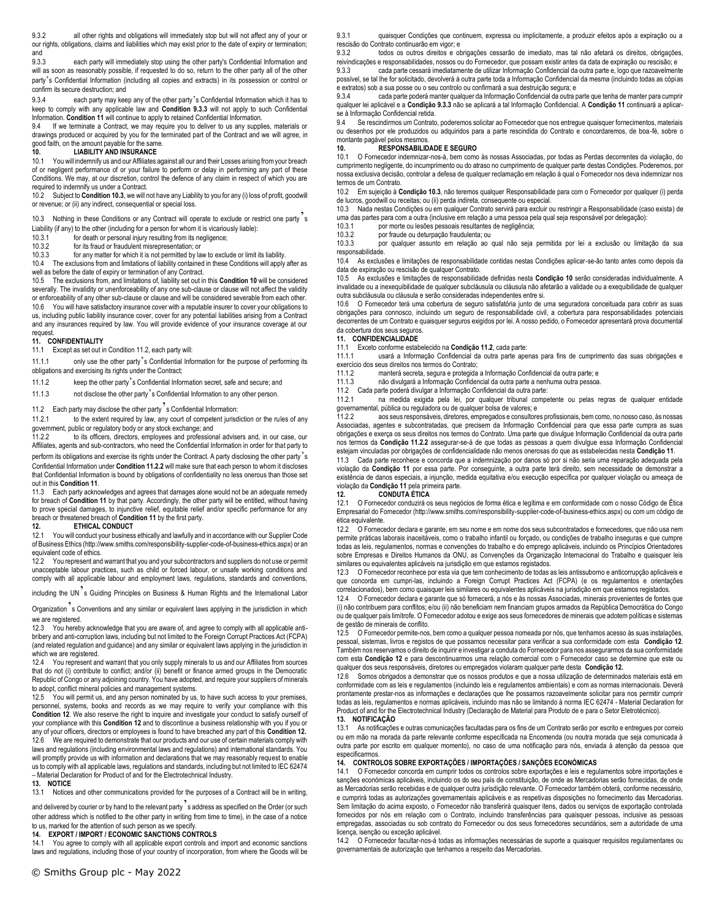9.3.2 all other rights and obligations will immediately stop but will not affect any of your or our rights, obligations, claims and liabilities which may exist prior to the date of expiry or termination; and<br> $9.3.3$ 

each party will immediately stop using the other party's Confidential Information and will as soon as reasonably possible, if requested to do so, return to the other party all of the other party's Confidential Information (including all copies and extracts) in its possession or control or confirm its secure destruction; and

9.3.4 each party may keep any of the other party's Confidential Information which it has to keep to comply with any applicable law and **Condition 9.3.3** will not apply to such Confidential Information. **Condition 11** will continue to apply to retained Confidential Information.

If we terminate a Contract, we may require you to deliver to us any supplies, materials or drawings produced or acquired by you for the terminated part of the Contract and we will agree, in good faith, on the amount payable for the same.<br>10

#### **10. LIABILITY AND INSURANCE**

10.1 You will indemnify us and our Affiliates against all our and their Losses arising from your breach of or negligent performance of or your failure to perform or delay in performing any part of these Conditions. We may, at our discretion, control the defence of any claim in respect of which you are required to indemnify us under a Contract.

10.2 Subject to **Condition 10.3**, we will not have any Liability to you for any (i) loss of profit, goodwill or revenue; or (ii) any indirect, consequential or special loss.

10.3 Nothing in these Conditions or any Contract will operate to exclude or restrict one party'<sup>s</sup>

Liability (if any) to the other (including for a person for whom it is vicariously liable):

- 10.3.1 for death or personal injury resulting from its negligence;
- 10.3.2 for its fraud or fraudulent misrepresentation; or<br>10.3.3 for any matter for which it is not permitted by lay

for any matter for which it is not permitted by law to exclude or limit its liability.

10.4 The exclusions from and limitations of liability contained in these Conditions will apply after as well as before the date of expiry or termination of any Contract.

10.5 The exclusions from, and limitations of, liability set out in this **Condition 10** will be considered severally. The invalidity or unenforceability of any one sub-clause or clause will not affect the validity or enforceability of any other sub-clause or clause and will be considered severable from each other. 10.6 You will have satisfactory insurance cover with a reputable insurer to cover your obligations to us, including public liability insurance cover, cover for any potential liabilities arising from a Contract and any insurances required by law. You will provide evidence of your insurance coverage at our request

#### **11. CONFIDENTIALITY**

11.1 Except as set out in Condition 11.2, each party will:

11.1.1 only use the other party's Confidential Information for the purpose of performing its obligations and exercising its rights under the Contract;

11.1.2 keep the other party's Confidential Information secret, safe and secure; and

11.1.3 not disclose the other party's Confidential Information to any other person.

11.2 Each party may disclose the other party<sup>3</sup>s Confidential Information:<br>11.2.1 to the extent required by law, any court of competent iurisd

to the extent required by law, any court of competent jurisdiction or the rules of any government, public or regulatory body or any stock exchange; and

11.2.2 to its officers, directors, employees and professional advisers and, in our case, our Affiliates, agents and sub-contractors, who need the Confidential Information in order for that party to

perform its obligations and exercise its rights under the Contract. A party disclosing the other party's Confidential Information under **Condition 11.2.2** will make sure that each person to whom it discloses that Confidential Information is bound by obligations of confidentiality no less onerous than those set out in this **Condition 11**.

11.3 Each party acknowledges and agrees that damages alone would not be an adequate remedy for breach of **Condition 11** by that party. Accordingly, the other party will be entitled, without having to prove special damages, to injunctive relief, equitable relief and/or specific performance for any breach or threatened breach of **Condition 11** by the first party.

#### **12. ETHICAL CONDUCT**

12.1 You will conduct your business ethically and lawfully and in accordance with our Supplier Code of Business Ethics (http://www.smiths.com/responsibility-supplier-code-of-business-ethics.aspx) or an equivalent code of ethics.

12.2 You represent and warrant that you and your subcontractors and suppliers do not use or permit unacceptable labour practices, such as child or forced labour, or unsafe working conditions and comply with all applicable labour and employment laws, regulations, standards and conventions,

including the UN<sup>7</sup>s Guiding Principles on Business & Human Rights and the International Labor

Organization's Conventions and any similar or equivalent laws applying in the jurisdiction in which we are registered.

12.3 You hereby acknowledge that you are aware of, and agree to comply with all applicable antibribery and anti-corruption laws, including but not limited to the Foreign Corrupt Practices Act (FCPA) (and related regulation and guidance) and any similar or equivalent laws applying in the jurisdiction in which we are registered.

12.4 You represent and warrant that you only supply minerals to us and our Affiliates from sources that do not (i) contribute to conflict; and/or (ii) benefit or finance armed groups in the Democratic Republic of Congo or any adjoining country. You have adopted, and require your suppliers of minerals to adopt, conflict mineral policies and management systems.

12.5 You will permit us, and any person nominated by us, to have such access to your premises, personnel, systems, books and records as we may require to verify your compliance with this **Condition 12.** We also reserve the right to inquire and investigate your conduct to satisfy ourself of your compliance with this **Condition 12** and to discontinue a business relationship with you if you or any of your officers, directors or employees is found to have breached any part of this **Condition 12.** 12.6 We are required to demonstrate that our products and our use of certain materials comply with laws and regulations (including environmental laws and regulations) and international standards. You will promptly provide us with information and declarations that we may reasonably request to enable us to comply with all applicable laws, regulations and standards, including but not limited to IEC 62474 – Material Declaration for Product of and for the Electrotechnical Industry.

#### **13. NOTICE**

13.1 Notices and other communications provided for the purposes of a Contract will be in writing,

and delivered by courier or by hand to the relevant party s address as specified on the Order (or such other address which is notified to the other party in writing from time to time), in the case of a notice to us, marked for the attention of such person as we specify.

**14. EXPORT / IMPORT / ECONOMIC SANCTIONS CONTROLS**

14.1 You agree to comply with all applicable export controls and import and economic sanctions laws and regulations, including those of your country of incorporation, from where the Goods will be 9.3.1 quaisquer Condições que continuem, expressa ou implicitamente, a produzir efeitos após a expiração ou a rescisão do Contrato continuarão em vigor; e

9.3.2 todos os outros direitos e obrigações cessarão de imediato, mas tal não afetará os direitos, obrigações, reivindicações e responsabilidades, nossos ou do Fornecedor, que possam existir antes da data de expiração ou rescisão; e cada parte cessará imediatamente de utilizar Informação Confidencial da outra parte e, logo que razoavelmente

possível, se tal lhe for solicitado, devolverá à outra parte toda a Informação Confidencial da mesma (incluindo todas as cópias e extratos) sob a sua posse ou o seu controlo ou confirmará a sua destruição segura; e

9.3.4 cada parte poderá manter qualquer da Informação Confidencial da outra parte que tenha de manter para cumprir qualquer lei aplicável e a **Condição 9.3.3** não se aplicará a tal Informação Confidencial. A **Condição 11** continuará a aplicarse à Informação Confidencial retida.<br>9.4 Se rescindirmos um Contrato

Se rescindirmos um Contrato, poderemos solicitar ao Fornecedor que nos entregue quaisquer fornecimentos, materiais ou desenhos por ele produzidos ou adquiridos para a parte rescindida do Contrato e concordaremos, de boa-fé, sobre o montante pagável pelos mesmos.

## 10. **RESPONSABILIDADE E SEGURO**<br>10.1 O Fornecedor indemnizar-nos-á, bem como

10.1 O Fornecedor indemnizar-nos-á, bem como às nossas Associadas, por todas as Perdas decorrentes da violação, do cumprimento negligente, do incumprimento ou do atraso no cumprimento de qualquer parte destas Condições. Poderemos, por nossa exclusiva decisão, controlar a defesa de qualquer reclamação em relação à qual o Fornecedor nos deva indemnizar nos termos de um Contrato.

10.2 Em sujeição à **Condição 10.3**, não teremos qualquer Responsabilidade para com o Fornecedor por qualquer (i) perda de lucros, goodwill ou receitas; ou (ii) perda indireta, consequente ou especial.

10.3 Nada nestas Condições ou em qualquer Contrato servirá para excluir ou restringir a Responsabilidade (caso exista) de uma das partes para com a outra (inclusive em relação a uma pessoa pela qual seja responsável por delegação):

10.3.1 por morte ou lesões pessoais resultantes de negligência;<br>10.3.2 por fraude ou deturnação fraudulente: ou

por fraude ou deturpação fraudulenta; ou

10.3.3 por qualquer assunto em relação ao qual não seja permitida por lei a exclusão ou limitação da sua responsabilidade.

10.4 As exclusões e limitações de responsabilidade contidas nestas Condições aplicar-se-ão tanto antes como depois da data de expiração ou rescisão de qualquer Contrato.

10.5 As exclusões e limitações de responsabilidade definidas nesta **Condição 10** serão consideradas individualmente. A invalidade ou a inexequibilidade de qualquer subcláusula ou cláusula não afetarão a validade ou a exequibilidade de qualquer outra subcláusula ou cláusula e serão consideradas independentes entre si.

10.6 O Fornecedor terá uma cobertura de seguro satisfatória junto de uma seguradora conceituada para cobrir as suas obrigações para connosco, incluindo um seguro de responsabilidade civil, a cobertura para responsabilidades potenciais decorrentes de um Contrato e quaisquer seguros exigidos por lei. A nosso pedido, o Fornecedor apresentará prova documental da cobertura dos seus seguros.

#### **11. CONFIDENCIALIDADE**

11.1 Exceto conforme estabelecido na **Condição 11.2**, cada parte:

11.1.1 usará a Informação Confidencial da outra parte apenas para fins de cumprimento das suas obrigações e exercício dos seus direitos nos termos do Contrato;

11.1.2 manterá secreta, segura e protegida a Informação Confidencial da outra parte; e

não divulgará a Informação Confidencial da outra parte a nenhuma outra pessoa.

11.2 Cada parte poderá divulgar a Informação Confidencial da outra parte:

na medida exigida pela lei, por qualquer tribunal competente ou pelas regras de qualquer entidade governamental, pública ou reguladora ou de qualquer bolsa de valores; e<br>11.2.2 aos seus responsáveis, diretores, empregados e consultore

11.2.2 aos seus responsáveis, diretores, empregados e consultores profissionais, bem como, no nosso caso, às nossas Associadas, agentes e subcontratadas, que precisem da Informação Confidencial para que essa parte cumpra as suas obrigações e exerça os seus direitos nos termos do Contrato. Uma parte que divulgue Informação Confidencial da outra parte nos termos da **Condição 11.2.2** assegurar-se-á de que todas as pessoas a quem divulgue essa Informação Confidencial

11.3 Cada parte reconhece e concorda que a indemnização por danos só por si não seria uma reparação adequada pela violação da **Condição 11** por essa parte. Por conseguinte, a outra parte terá direito, sem necessidade de demonstrar a existência de danos especiais, a injunção, medida equitativa e/ou execução específica por qualquer violação ou ameaça de

Empresarial do Fornecedor (http://www.smiths.com/responsibility-supplier-code-of-business-ethics.aspx) ou com um código de

12.2 O Fornecedor declara e garante, em seu nome e em nome dos seus subcontratados e fornecedores, que não usa nem permite práticas laborais inaceitáveis, como o trabalho infantil ou forçado, ou condições de trabalho inseguras e que cumpre todas as leis, regulamentos, normas e convenções do trabalho e do emprego aplicáveis, incluindo os Princípios Orientadores sobre Empresas e Direitos Humanos da ONU, as Convenções da Organização Internacional do Trabalho e quaisquer leis similares ou equivalentes aplicáveis na jurisdição em que estamos registados.

12.3 O Fornecedor reconhece por esta via que tem conhecimento de todas as leis antissuborno e anticorrupção aplicáveis e que concorda em cumpri-las, incluindo a Foreign Corrupt Practices Act (FCPA) (e os regulamentos e orientações correlacionados), bem como quaisquer leis similares ou equivalentes aplicáveis na jurisdição em que estamos registados.

12.4 O Fornecedor declara e garante que só fornecerá, a nós e às nossas Associadas, minerais provenientes de fontes que (i) não contribuem para conflitos; e/ou (ii) não beneficiam nem financiam grupos armados da República Democrática do Congo ou de qualquer país limítrofe. O Fornecedor adotou e exige aos seus fornecedores de minerais que adotem políticas e sistemas de gestão de minerais de conflito.

12.5 O Fornecedor permite-nos, bem como a qualquer pessoa nomeada por nós, que tenhamos acesso às suas instalações, pessoal, sistemas, livros e registos de que possamos necessitar para verificar a sua conformidade com esta **Condição 12**. Também nos reservamos o direito de inquirir e investigar a conduta do Fornecedor para nos assegurarmos da sua conformidade com esta **Condição 12** e para descontinuarmos uma relação comercial com o Fornecedor caso se determine que este ou qualquer dos seus responsáveis, diretores ou empregados violaram qualquer parte desta **Condição 12.** 

12.6 Somos obrigados a demonstrar que os nossos produtos e que a nossa utilização de determinados materiais está em conformidade com as leis e regulamentos (incluindo leis e regulamentos ambientais) e com as normas internacionais. Deverá prontamente prestar-nos as informações e declarações que lhe possamos razoavelmente solicitar para nos permitir cumprir todas as leis, regulamentos e normas aplicáveis, incluindo mas não se limitando à norma IEC 62474 - Material Declaration for Product of and for the Electrotechnical Industry (Declaração de Material para Produto de e para o Setor Eletrotécnico).

**13. NOTIFICAÇÃO**

13.1 As notificações e outras comunicações facultadas para os fins de um Contrato serão por escrito e entregues por correio ou em mão na morada da parte relevante conforme especificada na Encomenda (ou noutra morada que seja comunicada à outra parte por escrito em qualquer momento), no caso de uma notificação para nós, enviada à atenção da pessoa que especificarmos.

#### **14. CONTROLOS SOBRE EXPORTAÇÕES / IMPORTAÇÕES / SANÇÕES ECONÓMICAS**

14.1 O Fornecedor concorda em cumprir todos os controlos sobre exportações e leis e regulamentos sobre importações e sanções económicas aplicáveis, incluindo os do seu país de constituição, de onde as Mercadorias serão fornecidas, de onde as Mercadorias serão recebidas e de qualquer outra jurisdição relevante. O Fornecedor também obterá, conforme necessário, e cumprirá todas as autorizações governamentais aplicáveis e as respetivas disposições no fornecimento das Mercadorias. Sem limitação do acima exposto, o Fornecedor não transferirá quaisquer itens, dados ou serviços de exportação controlada fornecidos por nós em relação com o Contrato, incluindo transferências para quaisquer pessoas, inclusive as pessoas empregadas, associadas ou sob contrato do Fornecedor ou dos seus fornecedores secundários, sem a autoridade de uma licença, isenção ou exceção aplicável.

14.2 O Fornecedor facultar-nos-á todas as informações necessárias de suporte a quaisquer requisitos regulamentares ou governamentais de autorização que tenhamos a respeito das Mercadorias.

ética equivalente

estejam vinculadas por obrigações de confidencialidade não menos onerosas do que as estabelecidas nesta **Condição 11**.

violação da **Condição 11** pela primeira parte.

12.1 O Fornecedor conduzirá os seus negócios de forma ética e legítima e em conformidade com o nosso Código de Ética

# **12. CONDUTA ÉTICA**